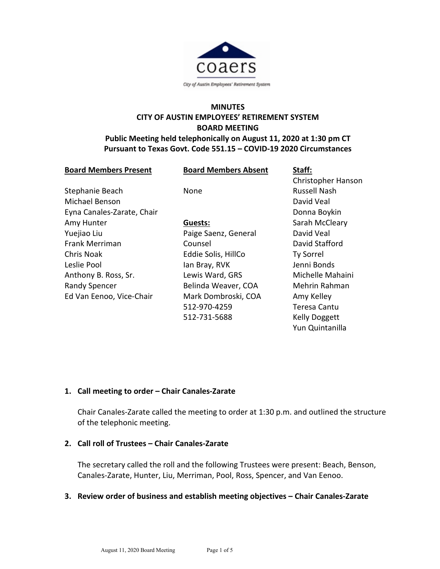

# **MINUTES CITY OF AUSTIN EMPLOYEES' RETIREMENT SYSTEM BOARD MEETING**

# **Public Meeting held telephonically on August 11, 2020 at 1:30 pm CT Pursuant to Texas Govt. Code 551.15 – COVID-19 2020 Circumstances**

| <b>Board Members Present</b> | <b>Board Members Absent</b> | Staff:               |
|------------------------------|-----------------------------|----------------------|
|                              |                             | Christopher Hanson   |
| Stephanie Beach              | None                        | <b>Russell Nash</b>  |
| <b>Michael Benson</b>        |                             | David Veal           |
| Eyna Canales-Zarate, Chair   |                             | Donna Boykin         |
| Amy Hunter                   | Guests:                     | Sarah McCleary       |
| Yuejiao Liu                  | Paige Saenz, General        | David Veal           |
| Frank Merriman               | Counsel                     | David Stafford       |
| Chris Noak                   | Eddie Solis, HillCo         | <b>Ty Sorrel</b>     |
| Leslie Pool                  | lan Bray, RVK               | Jenni Bonds          |
| Anthony B. Ross, Sr.         | Lewis Ward, GRS             | Michelle Mahaini     |
| <b>Randy Spencer</b>         | Belinda Weaver, COA         | Mehrin Rahman        |
| Ed Van Eenoo, Vice-Chair     | Mark Dombroski, COA         | Amy Kelley           |
|                              | 512-970-4259                | Teresa Cantu         |
|                              | 512-731-5688                | <b>Kelly Doggett</b> |
|                              |                             | Yun Quintanilla      |

# **1. Call meeting to order – Chair Canales-Zarate**

Chair Canales-Zarate called the meeting to order at 1:30 p.m. and outlined the structure of the telephonic meeting.

## **2. Call roll of Trustees – Chair Canales-Zarate**

The secretary called the roll and the following Trustees were present: Beach, Benson, Canales-Zarate, Hunter, Liu, Merriman, Pool, Ross, Spencer, and Van Eenoo.

### **3. Review order of business and establish meeting objectives – Chair Canales-Zarate**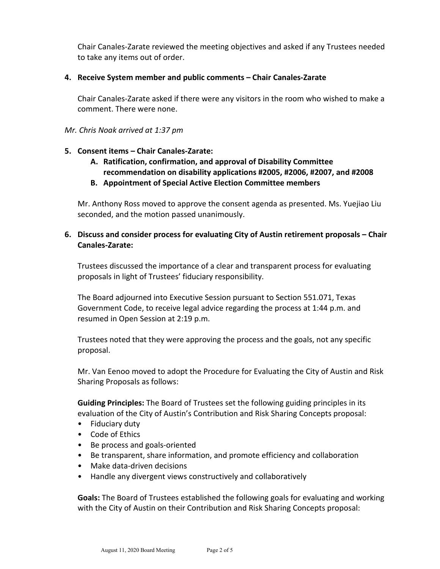Chair Canales-Zarate reviewed the meeting objectives and asked if any Trustees needed to take any items out of order.

## **4. Receive System member and public comments – Chair Canales-Zarate**

Chair Canales-Zarate asked if there were any visitors in the room who wished to make a comment. There were none.

### *Mr. Chris Noak arrived at 1:37 pm*

### **5. Consent items – Chair Canales-Zarate:**

- **A. Ratification, confirmation, and approval of Disability Committee recommendation on disability applications #2005, #2006, #2007, and #2008**
- **B. Appointment of Special Active Election Committee members**

Mr. Anthony Ross moved to approve the consent agenda as presented. Ms. Yuejiao Liu seconded, and the motion passed unanimously.

# **6. Discuss and consider process for evaluating City of Austin retirement proposals – Chair Canales-Zarate:**

Trustees discussed the importance of a clear and transparent process for evaluating proposals in light of Trustees' fiduciary responsibility.

The Board adjourned into Executive Session pursuant to Section 551.071, Texas Government Code, to receive legal advice regarding the process at 1:44 p.m. and resumed in Open Session at 2:19 p.m.

Trustees noted that they were approving the process and the goals, not any specific proposal.

Mr. Van Eenoo moved to adopt the Procedure for Evaluating the City of Austin and Risk Sharing Proposals as follows:

**Guiding Principles:** The Board of Trustees set the following guiding principles in its evaluation of the City of Austin's Contribution and Risk Sharing Concepts proposal:

- Fiduciary duty
- Code of Ethics
- Be process and goals-oriented
- Be transparent, share information, and promote efficiency and collaboration
- Make data-driven decisions
- Handle any divergent views constructively and collaboratively

**Goals:** The Board of Trustees established the following goals for evaluating and working with the City of Austin on their Contribution and Risk Sharing Concepts proposal: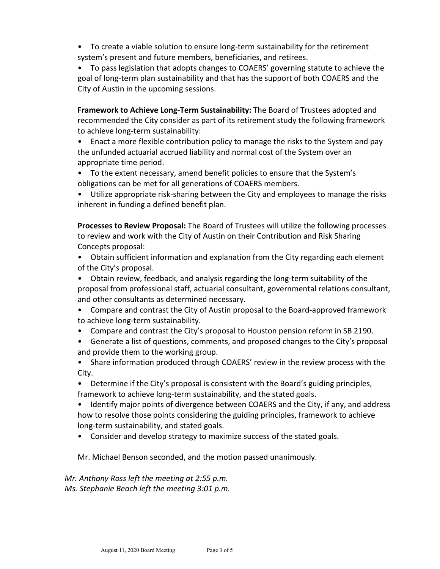• To create a viable solution to ensure long-term sustainability for the retirement system's present and future members, beneficiaries, and retirees.

• To pass legislation that adopts changes to COAERS' governing statute to achieve the goal of long-term plan sustainability and that has the support of both COAERS and the City of Austin in the upcoming sessions.

**Framework to Achieve Long-Term Sustainability:** The Board of Trustees adopted and recommended the City consider as part of its retirement study the following framework to achieve long-term sustainability:

• Enact a more flexible contribution policy to manage the risks to the System and pay the unfunded actuarial accrued liability and normal cost of the System over an appropriate time period.

- To the extent necessary, amend benefit policies to ensure that the System's obligations can be met for all generations of COAERS members.
- Utilize appropriate risk-sharing between the City and employees to manage the risks inherent in funding a defined benefit plan.

**Processes to Review Proposal:** The Board of Trustees will utilize the following processes to review and work with the City of Austin on their Contribution and Risk Sharing Concepts proposal:

• Obtain sufficient information and explanation from the City regarding each element of the City's proposal.

• Obtain review, feedback, and analysis regarding the long-term suitability of the proposal from professional staff, actuarial consultant, governmental relations consultant, and other consultants as determined necessary.

- Compare and contrast the City of Austin proposal to the Board-approved framework to achieve long-term sustainability.
- Compare and contrast the City's proposal to Houston pension reform in SB 2190.
- Generate a list of questions, comments, and proposed changes to the City's proposal and provide them to the working group.
- Share information produced through COAERS' review in the review process with the City.

• Determine if the City's proposal is consistent with the Board's guiding principles, framework to achieve long-term sustainability, and the stated goals.

• Identify major points of divergence between COAERS and the City, if any, and address how to resolve those points considering the guiding principles, framework to achieve long-term sustainability, and stated goals.

• Consider and develop strategy to maximize success of the stated goals.

Mr. Michael Benson seconded, and the motion passed unanimously.

*Mr. Anthony Ross left the meeting at 2:55 p.m. Ms. Stephanie Beach left the meeting 3:01 p.m.*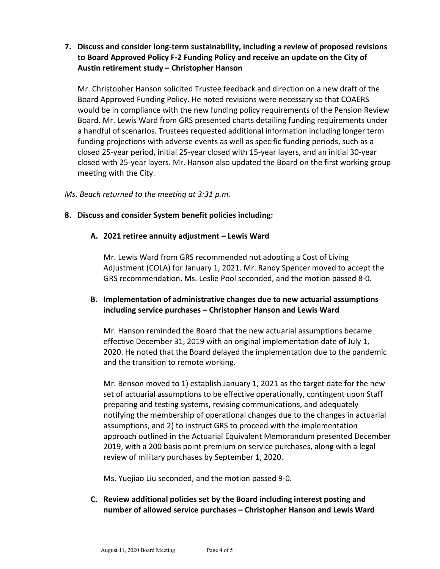**7. Discuss and consider long-term sustainability, including a review of proposed revisions to Board Approved Policy F-2 Funding Policy and receive an update on the City of Austin retirement study – Christopher Hanson**

Mr. Christopher Hanson solicited Trustee feedback and direction on a new draft of the Board Approved Funding Policy. He noted revisions were necessary so that COAERS would be in compliance with the new funding policy requirements of the Pension Review Board. Mr. Lewis Ward from GRS presented charts detailing funding requirements under a handful of scenarios. Trustees requested additional information including longer term funding projections with adverse events as well as specific funding periods, such as a closed 25-year period, initial 25-year closed with 15-year layers, and an initial 30-year closed with 25-year layers. Mr. Hanson also updated the Board on the first working group meeting with the City.

### *Ms. Beach returned to the meeting at 3:31 p.m.*

## **8. Discuss and consider System benefit policies including:**

### **A. 2021 retiree annuity adjustment – Lewis Ward**

Mr. Lewis Ward from GRS recommended not adopting a Cost of Living Adjustment (COLA) for January 1, 2021. Mr. Randy Spencer moved to accept the GRS recommendation. Ms. Leslie Pool seconded, and the motion passed 8-0.

# **B. Implementation of administrative changes due to new actuarial assumptions including service purchases – Christopher Hanson and Lewis Ward**

Mr. Hanson reminded the Board that the new actuarial assumptions became effective December 31, 2019 with an original implementation date of July 1, 2020. He noted that the Board delayed the implementation due to the pandemic and the transition to remote working.

Mr. Benson moved to 1) establish January 1, 2021 as the target date for the new set of actuarial assumptions to be effective operationally, contingent upon Staff preparing and testing systems, revising communications, and adequately notifying the membership of operational changes due to the changes in actuarial assumptions, and 2) to instruct GRS to proceed with the implementation approach outlined in the Actuarial Equivalent Memorandum presented December 2019, with a 200 basis point premium on service purchases, along with a legal review of military purchases by September 1, 2020.

Ms. Yuejiao Liu seconded, and the motion passed 9-0.

**C. Review additional policies set by the Board including interest posting and number of allowed service purchases – Christopher Hanson and Lewis Ward**